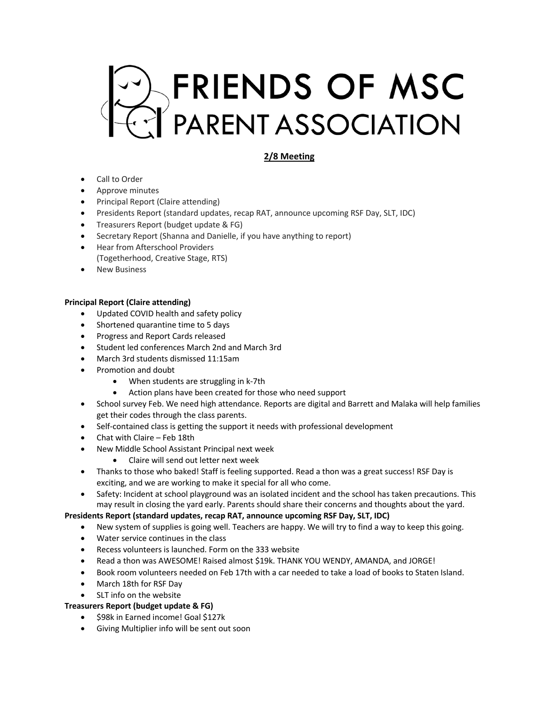# FRIENDS OF MSC

# **2/8 Meeting**

- Call to Order
- Approve minutes
- Principal Report (Claire attending)
- Presidents Report (standard updates, recap RAT, announce upcoming RSF Day, SLT, IDC)
- Treasurers Report (budget update & FG)
- Secretary Report (Shanna and Danielle, if you have anything to report)
- Hear from Afterschool Providers (Togetherhood, Creative Stage, RTS)
- **New Business**

## **Principal Report (Claire attending)**

- Updated COVID health and safety policy
- Shortened quarantine time to 5 days
- Progress and Report Cards released
- Student led conferences March 2nd and March 3rd
- March 3rd students dismissed 11:15am
- Promotion and doubt
	- When students are struggling in k-7th
	- Action plans have been created for those who need support
- School survey Feb. We need high attendance. Reports are digital and Barrett and Malaka will help families get their codes through the class parents.
- Self-contained class is getting the support it needs with professional development
- Chat with Claire Feb 18th
- New Middle School Assistant Principal next week
	- Claire will send out letter next week
- Thanks to those who baked! Staff is feeling supported. Read a thon was a great success! RSF Day is exciting, and we are working to make it special for all who come.
- Safety: Incident at school playground was an isolated incident and the school has taken precautions. This may result in closing the yard early. Parents should share their concerns and thoughts about the yard.

### **Presidents Report (standard updates, recap RAT, announce upcoming RSF Day, SLT, IDC)**

- New system of supplies is going well. Teachers are happy. We will try to find a way to keep this going.
- Water service continues in the class
- Recess volunteers is launched. Form on the 333 website
- Read a thon was AWESOME! Raised almost \$19k. THANK YOU WENDY, AMANDA, and JORGE!
- Book room volunteers needed on Feb 17th with a car needed to take a load of books to Staten Island.
- March 18th for RSF Day
- SLT info on the website

### **Treasurers Report (budget update & FG)**

- \$98k in Earned income! Goal \$127k
- Giving Multiplier info will be sent out soon